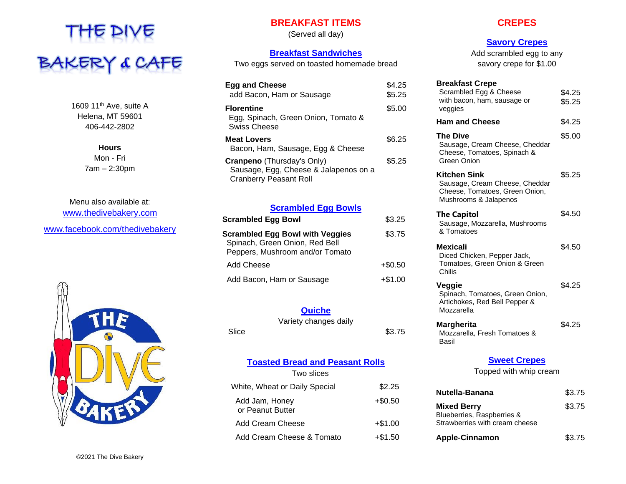

1609 11<sup>th</sup> Ave, suite A Helena, MT 59601 406-442-2802

> **Hours** Mon - Fri 7am – 2:30pm

Menu also available at: [www.thedivebakery.com](http://www.thedivebakery.com/) [www.facebook.com/thedivebakery](http://www.facebook.com/thedivebakery)



# **BREAKFAST ITEMS**

(Served all day)

## **Breakfast Sandwiches**

Two eggs served on toasted homemade bread

| <b>Egg and Cheese</b><br>add Bacon, Ham or Sausage                                                          | \$4.25<br>\$5.25 |
|-------------------------------------------------------------------------------------------------------------|------------------|
| <b>Florentine</b><br>Egg, Spinach, Green Onion, Tomato &<br>Swiss Cheese                                    | \$5.00           |
| <b>Meat Lovers</b><br>Bacon, Ham, Sausage, Egg & Cheese                                                     | \$6.25           |
| <b>Cranpeno</b> (Thursday's Only)<br>Sausage, Egg, Cheese & Jalapenos on a<br><b>Cranberry Peasant Roll</b> | \$5.25           |

#### **Scrambled Egg Bowls**

| <b>Scrambled Egg Bowl</b>                                                                                   | \$3.25     |
|-------------------------------------------------------------------------------------------------------------|------------|
| <b>Scrambled Egg Bowl with Veggies</b><br>Spinach, Green Onion, Red Bell<br>Peppers, Mushroom and/or Tomato | \$3.75     |
| Add Cheese                                                                                                  | $+$ \$0.50 |
| Add Bacon, Ham or Sausage                                                                                   | $+ $1.00$  |

# **Quiche**

Variety changes daily

# Slice \$3.75

**Toasted Bread and Peasant Rolls**

| Two slices                         |            |
|------------------------------------|------------|
| White, Wheat or Daily Special      | \$2.25     |
| Add Jam, Honey<br>or Peanut Butter | $+$ \$0.50 |
| Add Cream Cheese                   | $+ $1.00$  |
| Add Cream Cheese & Tomato          | $+\$1.50$  |

## **CREPES**

# **Savory Crepes**

Add scrambled egg to any savory crepe for \$1.00

| <b>Breakfast Crepe</b><br>Scrambled Egg & Cheese<br>with bacon, ham, sausage or<br>veggies                | \$4.25<br>\$5.25 |
|-----------------------------------------------------------------------------------------------------------|------------------|
| <b>Ham and Cheese</b>                                                                                     | \$4.25           |
| The Dive<br>Sausage, Cream Cheese, Cheddar<br>Cheese, Tomatoes, Spinach &<br>Green Onion                  | \$5.00           |
| Kitchen Sink<br>Sausage, Cream Cheese, Cheddar<br>Cheese, Tomatoes, Green Onion,<br>Mushrooms & Jalapenos | \$5.25           |
| <b>The Capitol</b><br>Sausage, Mozzarella, Mushrooms<br>& Tomatoes                                        | \$4.50           |
| Mexicali<br>Diced Chicken, Pepper Jack,<br>Tomatoes, Green Onion & Green<br>Chilis                        | \$4.50           |
| Veggie<br>Spinach, Tomatoes, Green Onion,<br>Artichokes, Red Bell Pepper &<br>Mozzarella                  | \$4.25           |
| Margherita<br>Mozzarella, Fresh Tomatoes &<br>Basil                                                       | \$4.25           |
| <b>Sweet Crepes</b>                                                                                       |                  |
| Topped with whip cream                                                                                    |                  |

| Nutella-Banana                                                                     | \$3.75 |
|------------------------------------------------------------------------------------|--------|
| <b>Mixed Berry</b><br>Blueberries, Raspberries &<br>Strawberries with cream cheese | \$3.75 |
| <b>Apple-Cinnamon</b>                                                              | \$3.75 |